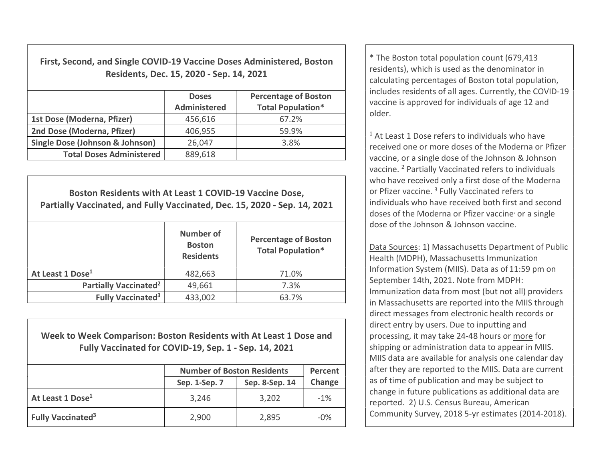First, Second, and Single COVID-19 Vaccine Doses Administered, Boston Residents, Dec. 15, 2020 - Sep. 14, 2021

|                                            | <b>Doses</b><br><b>Administered</b> | <b>Percentage of Boston</b><br><b>Total Population*</b> |
|--------------------------------------------|-------------------------------------|---------------------------------------------------------|
| 1st Dose (Moderna, Pfizer)                 | 456,616                             | 67.2%                                                   |
| 2nd Dose (Moderna, Pfizer)                 | 406,955                             | 59.9%                                                   |
| <b>Single Dose (Johnson &amp; Johnson)</b> | 26,047                              | 3.8%                                                    |
| <b>Total Doses Administered</b>            | 889,618                             |                                                         |

| Boston Residents with At Least 1 COVID-19 Vaccine Dose,<br>Partially Vaccinated, and Fully Vaccinated, Dec. 15, 2020 - Sep. 14, 2021 |                                                |                                                         |  |  |  |  |
|--------------------------------------------------------------------------------------------------------------------------------------|------------------------------------------------|---------------------------------------------------------|--|--|--|--|
|                                                                                                                                      | Number of<br><b>Boston</b><br><b>Residents</b> | <b>Percentage of Boston</b><br><b>Total Population*</b> |  |  |  |  |
| At Least 1 Dose <sup>1</sup>                                                                                                         | 482,663                                        | 71.0%                                                   |  |  |  |  |
| Partially Vaccinated <sup>2</sup>                                                                                                    | 49,661                                         | 7.3%                                                    |  |  |  |  |
| <b>Fully Vaccinated<sup>3</sup></b>                                                                                                  | 433,002                                        | 63.7%                                                   |  |  |  |  |

## Week to Week Comparison: Boston Residents with At Least 1 Dose and Fully Vaccinated for COVID-19, Sep. 1 - Sep. 14, 2021

|                                     | <b>Number of Boston Residents</b> | Percent        |        |
|-------------------------------------|-----------------------------------|----------------|--------|
|                                     | Sep. 1-Sep. 7                     | Sep. 8-Sep. 14 | Change |
| At Least 1 Dose <sup>1</sup>        | 3,246                             | 3,202          | $-1\%$ |
| <b>Fully Vaccinated<sup>3</sup></b> | 2,900                             | 2,895          | $-0\%$ |

\* The Boston total population count (679,413 residents), which is used as the denominator in calculating percentages of Boston total population, includes residents of all ages. Currently, the COVID-19 vaccine is approved for individuals of age 12 and older.

<sup>1</sup> At Least 1 Dose refers to individuals who have received one or more doses of the Moderna or Pfizer vaccine, or a single dose of the Johnson & Johnson vaccine. <sup>2</sup> Partially Vaccinated refers to individuals who have received only a first dose of the Moderna or Pfizer vaccine. <sup>3</sup> Fully Vaccinated refers to individuals who have received both first and second doses of the Moderna or Pfizer vaccine<sup>,</sup> or a single dose of the Johnson & Johnson vaccine.

Data Sources: 1) Massachusetts Department of Public Health (MDPH), Massachusetts Immunization Information System (MIIS). Data as of 11:59 pm on September 14th, 2021. Note from MDPH: Immunization data from most (but not all) providers in Massachusetts are reported into the MIIS through direct messages from electronic health records or direct entry by users. Due to inputting and processing, it may take 24-48 hours or more for shipping or administration data to appear in MIIS. MIIS data are available for analysis one calendar day after they are reported to the MIIS. Data are current as of time of publication and may be subject to change in future publications as additional data are reported. 2) U.S. Census Bureau, American Community Survey, 2018 5-yr estimates (2014-2018).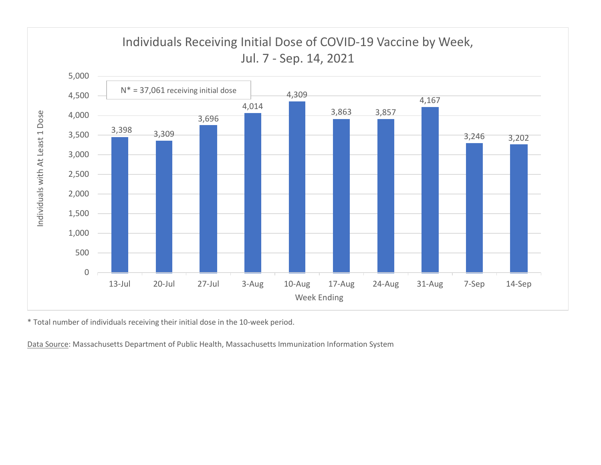

\* Total number of individuals receiving their initial dose in the 10-week period.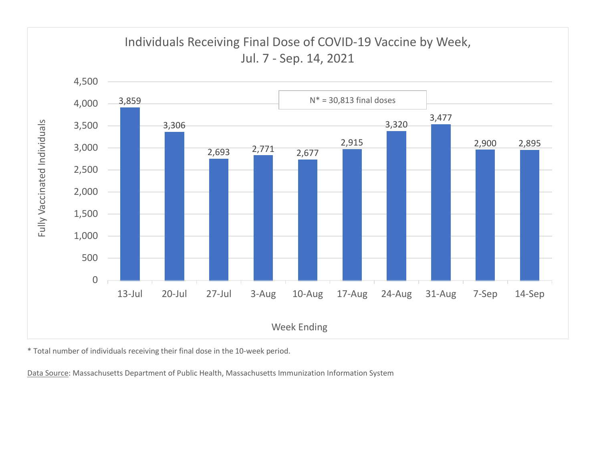

\* Total number of individuals receiving their final dose in the 10-week period.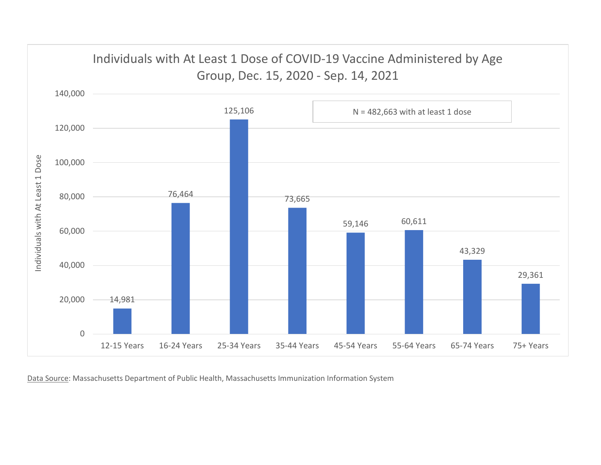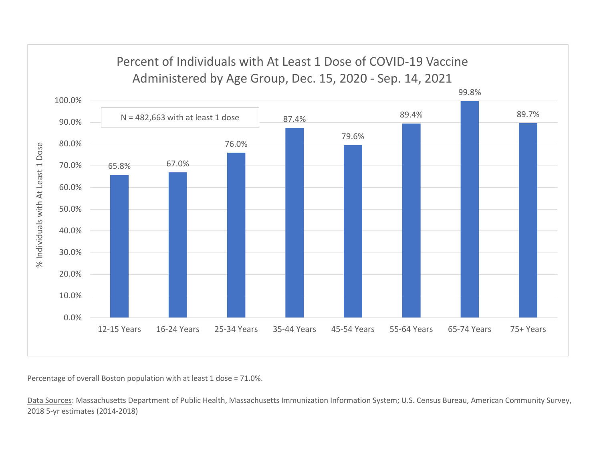

Percentage of overall Boston population with at least 1 dose = 71.0%.

Data Sources: Massachusetts Department of Public Health, Massachusetts Immunization Information System; U.S. Census Bureau, American Community Survey, 2018 5-yr estimates (2014-2018)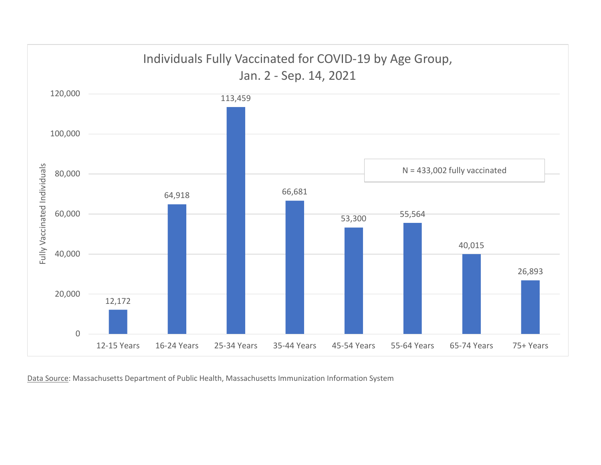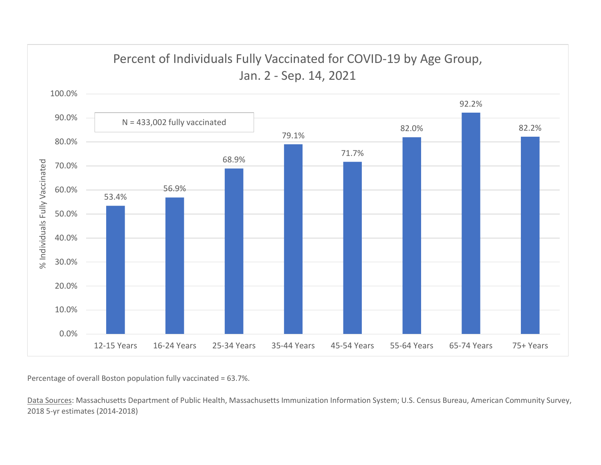

Percentage of overall Boston population fully vaccinated = 63.7%.

Data Sources: Massachusetts Department of Public Health, Massachusetts Immunization Information System; U.S. Census Bureau, American Community Survey, 2018 5-yr estimates (2014-2018)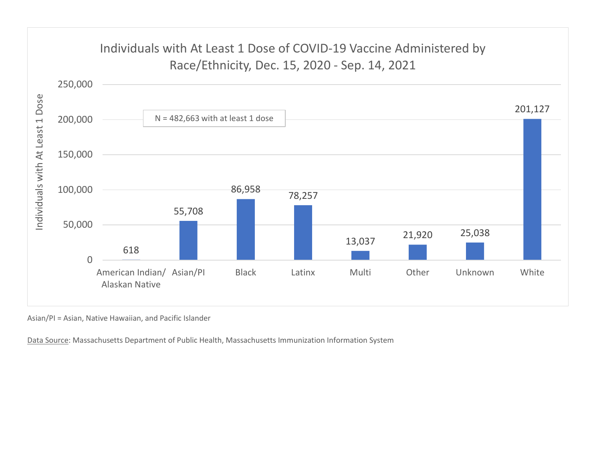

Asian/PI = Asian, Native Hawaiian, and Pacific Islander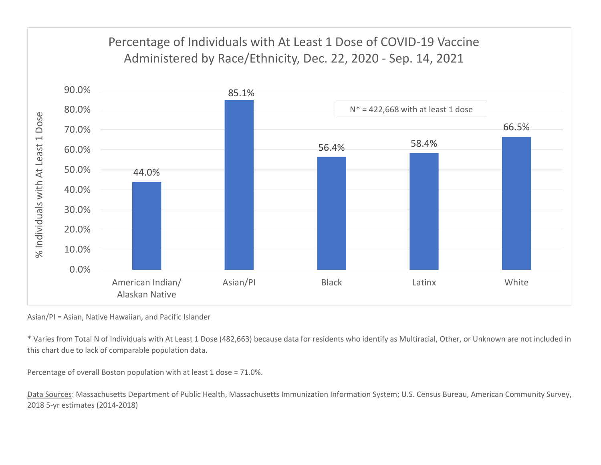

Asian/PI = Asian, Native Hawaiian, and Pacific Islander

\* Varies from Total N of Individuals with At Least 1 Dose (482,663) because data for residents who identify as Multiracial, Other, or Unknown are not included in this chart due to lack of comparable population data.

Percentage of overall Boston population with at least 1 dose = 71.0%.

Data Sources: Massachusetts Department of Public Health, Massachusetts Immunization Information System; U.S. Census Bureau, American Community Survey, 2018 5-yr estimates (2014-2018)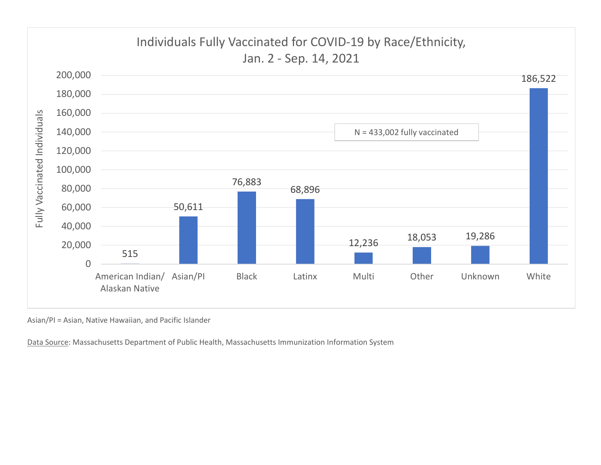

Asian/PI = Asian, Native Hawaiian, and Pacific Islander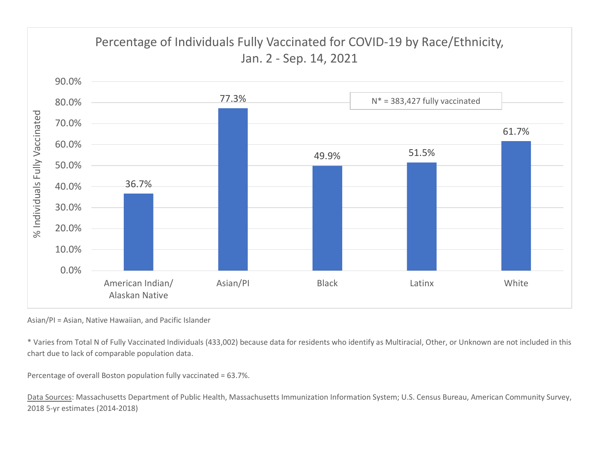

Asian/PI = Asian, Native Hawaiian, and Pacific Islander

\* Varies from Total N of Fully Vaccinated Individuals (433,002) because data for residents who identify as Multiracial, Other, or Unknown are not included in this chart due to lack of comparable population data.

Percentage of overall Boston population fully vaccinated = 63.7%.

Data Sources: Massachusetts Department of Public Health, Massachusetts Immunization Information System; U.S. Census Bureau, American Community Survey, 2018 5-yr estimates (2014-2018)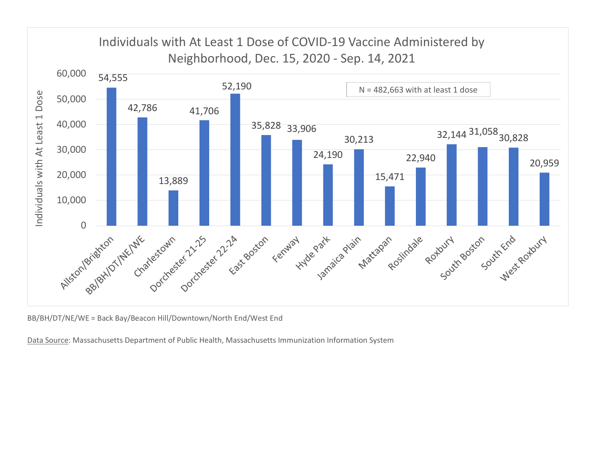

BB/BH/DT/NE/WE = Back Bay/Beacon Hill/Downtown/North End/West End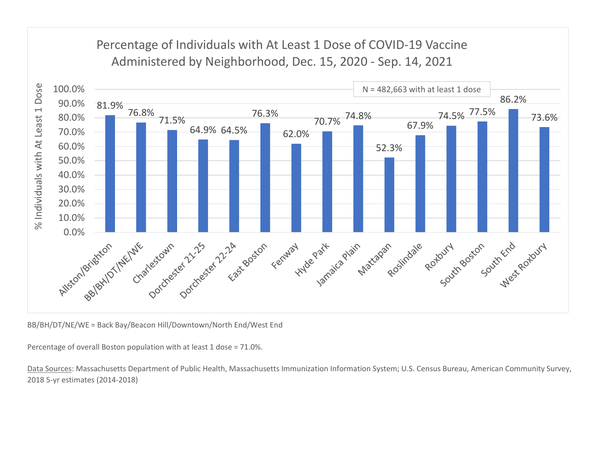

BB/BH/DT/NE/WE = Back Bay/Beacon Hill/Downtown/North End/West End

Percentage of overall Boston population with at least 1 dose = 71.0%.

Data Sources: Massachusetts Department of Public Health, Massachusetts Immunization Information System; U.S. Census Bureau, American Community Survey, 2018 5-yr estimates (2014-2018)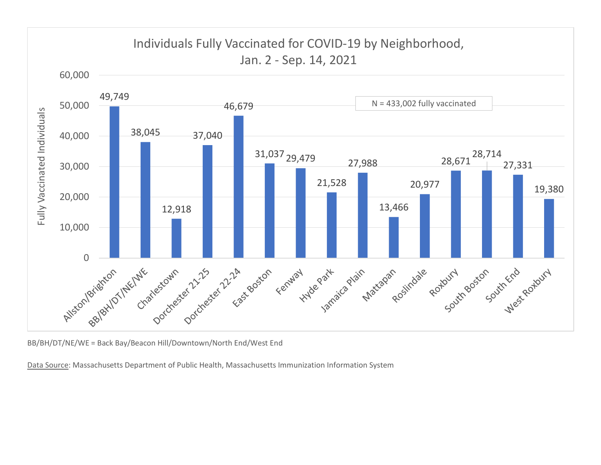

BB/BH/DT/NE/WE = Back Bay/Beacon Hill/Downtown/North End/West End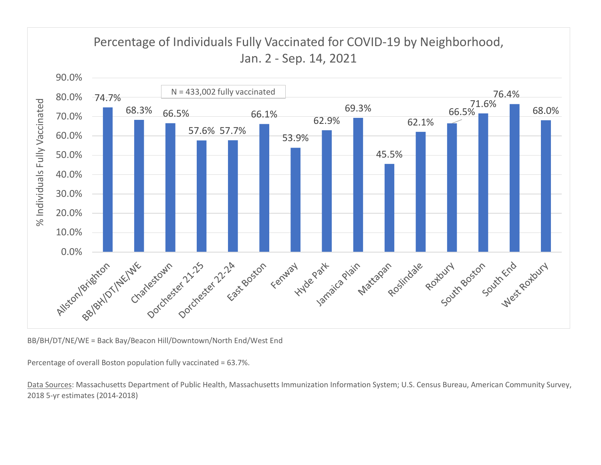

BB/BH/DT/NE/WE = Back Bay/Beacon Hill/Downtown/North End/West End

Percentage of overall Boston population fully vaccinated = 63.7%.

Data Sources: Massachusetts Department of Public Health, Massachusetts Immunization Information System; U.S. Census Bureau, American Community Survey, 2018 5-yr estimates (2014-2018)